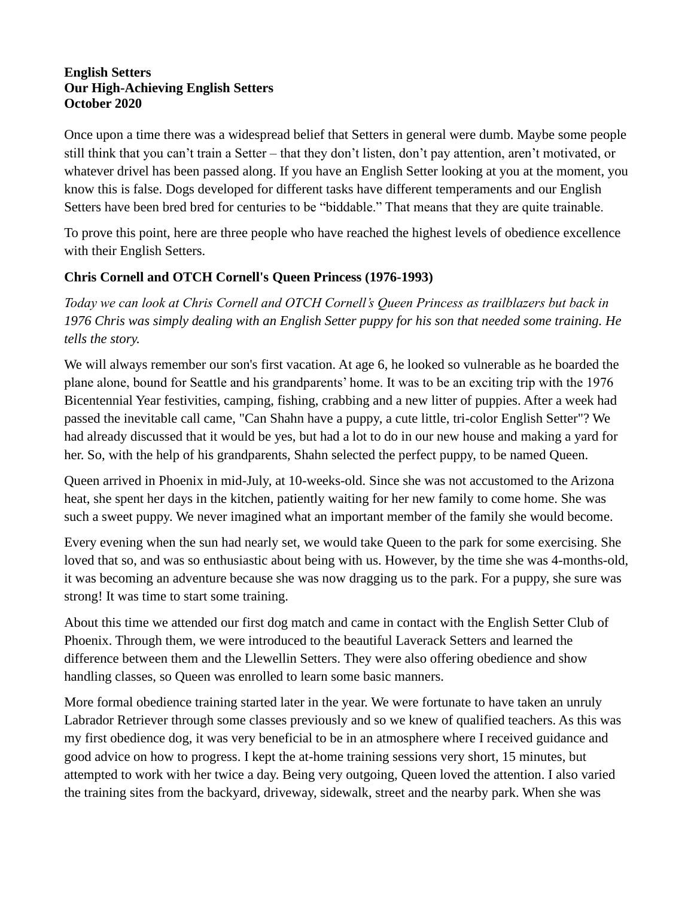## **English Setters Our High-Achieving English Setters October 2020**

Once upon a time there was a widespread belief that Setters in general were dumb. Maybe some people still think that you can't train a Setter – that they don't listen, don't pay attention, aren't motivated, or whatever drivel has been passed along. If you have an English Setter looking at you at the moment, you know this is false. Dogs developed for different tasks have different temperaments and our English Setters have been bred bred for centuries to be "biddable." That means that they are quite trainable.

To prove this point, here are three people who have reached the highest levels of obedience excellence with their English Setters.

## **Chris Cornell and OTCH Cornell's Queen Princess (1976-1993)**

*Today we can look at Chris Cornell and OTCH Cornell's Queen Princess as trailblazers but back in 1976 Chris was simply dealing with an English Setter puppy for his son that needed some training. He tells the story.*

We will always remember our son's first vacation. At age 6, he looked so vulnerable as he boarded the plane alone, bound for Seattle and his grandparents' home. It was to be an exciting trip with the 1976 Bicentennial Year festivities, camping, fishing, crabbing and a new litter of puppies. After a week had passed the inevitable call came, "Can Shahn have a puppy, a cute little, tri-color English Setter"? We had already discussed that it would be yes, but had a lot to do in our new house and making a yard for her. So, with the help of his grandparents, Shahn selected the perfect puppy, to be named Queen.

Queen arrived in Phoenix in mid-July, at 10-weeks-old. Since she was not accustomed to the Arizona heat, she spent her days in the kitchen, patiently waiting for her new family to come home. She was such a sweet puppy. We never imagined what an important member of the family she would become.

Every evening when the sun had nearly set, we would take Queen to the park for some exercising. She loved that so, and was so enthusiastic about being with us. However, by the time she was 4-months-old, it was becoming an adventure because she was now dragging us to the park. For a puppy, she sure was strong! It was time to start some training.

About this time we attended our first dog match and came in contact with the English Setter Club of Phoenix. Through them, we were introduced to the beautiful Laverack Setters and learned the difference between them and the Llewellin Setters. They were also offering obedience and show handling classes, so Queen was enrolled to learn some basic manners.

More formal obedience training started later in the year. We were fortunate to have taken an unruly Labrador Retriever through some classes previously and so we knew of qualified teachers. As this was my first obedience dog, it was very beneficial to be in an atmosphere where I received guidance and good advice on how to progress. I kept the at-home training sessions very short, 15 minutes, but attempted to work with her twice a day. Being very outgoing, Queen loved the attention. I also varied the training sites from the backyard, driveway, sidewalk, street and the nearby park. When she was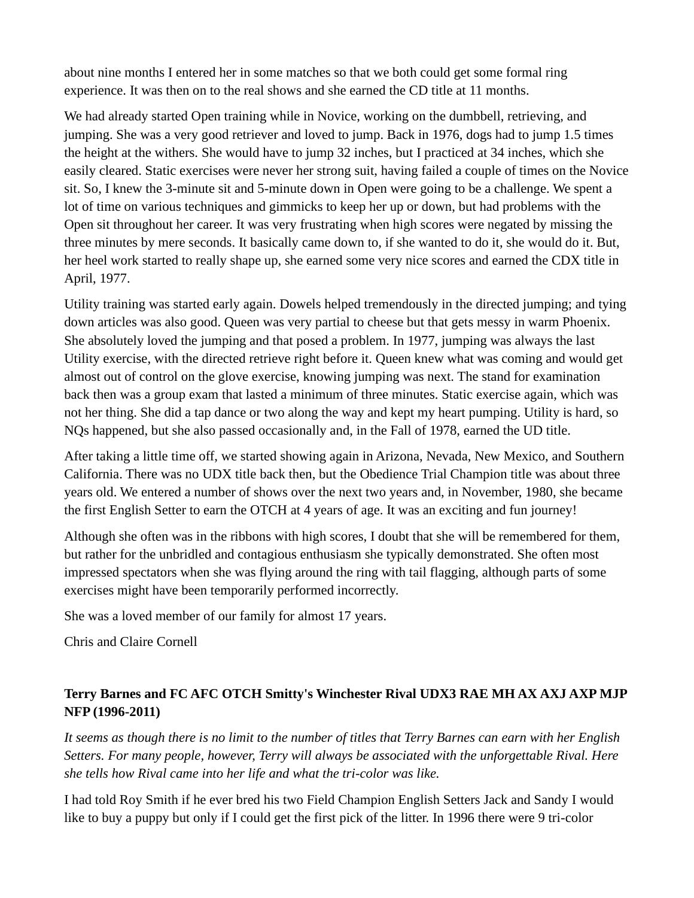about nine months I entered her in some matches so that we both could get some formal ring experience. It was then on to the real shows and she earned the CD title at 11 months.

We had already started Open training while in Novice, working on the dumbbell, retrieving, and jumping. She was a very good retriever and loved to jump. Back in 1976, dogs had to jump 1.5 times the height at the withers. She would have to jump 32 inches, but I practiced at 34 inches, which she easily cleared. Static exercises were never her strong suit, having failed a couple of times on the Novice sit. So, I knew the 3-minute sit and 5-minute down in Open were going to be a challenge. We spent a lot of time on various techniques and gimmicks to keep her up or down, but had problems with the Open sit throughout her career. It was very frustrating when high scores were negated by missing the three minutes by mere seconds. It basically came down to, if she wanted to do it, she would do it. But, her heel work started to really shape up, she earned some very nice scores and earned the CDX title in April, 1977.

Utility training was started early again. Dowels helped tremendously in the directed jumping; and tying down articles was also good. Queen was very partial to cheese but that gets messy in warm Phoenix. She absolutely loved the jumping and that posed a problem. In 1977, jumping was always the last Utility exercise, with the directed retrieve right before it. Queen knew what was coming and would get almost out of control on the glove exercise, knowing jumping was next. The stand for examination back then was a group exam that lasted a minimum of three minutes. Static exercise again, which was not her thing. She did a tap dance or two along the way and kept my heart pumping. Utility is hard, so NQs happened, but she also passed occasionally and, in the Fall of 1978, earned the UD title.

After taking a little time off, we started showing again in Arizona, Nevada, New Mexico, and Southern California. There was no UDX title back then, but the Obedience Trial Champion title was about three years old. We entered a number of shows over the next two years and, in November, 1980, she became the first English Setter to earn the OTCH at 4 years of age. It was an exciting and fun journey!

Although she often was in the ribbons with high scores, I doubt that she will be remembered for them, but rather for the unbridled and contagious enthusiasm she typically demonstrated. She often most impressed spectators when she was flying around the ring with tail flagging, although parts of some exercises might have been temporarily performed incorrectly.

She was a loved member of our family for almost 17 years.

Chris and Claire Cornell

## **Terry Barnes and FC AFC OTCH Smitty's Winchester Rival UDX3 RAE MH AX AXJ AXP MJP NFP (1996-2011)**

*It seems as though there is no limit to the number of titles that Terry Barnes can earn with her English Setters. For many people, however, Terry will always be associated with the unforgettable Rival. Here she tells how Rival came into her life and what the tri-color was like.*

I had told Roy Smith if he ever bred his two Field Champion English Setters Jack and Sandy I would like to buy a puppy but only if I could get the first pick of the litter. In 1996 there were 9 tri-color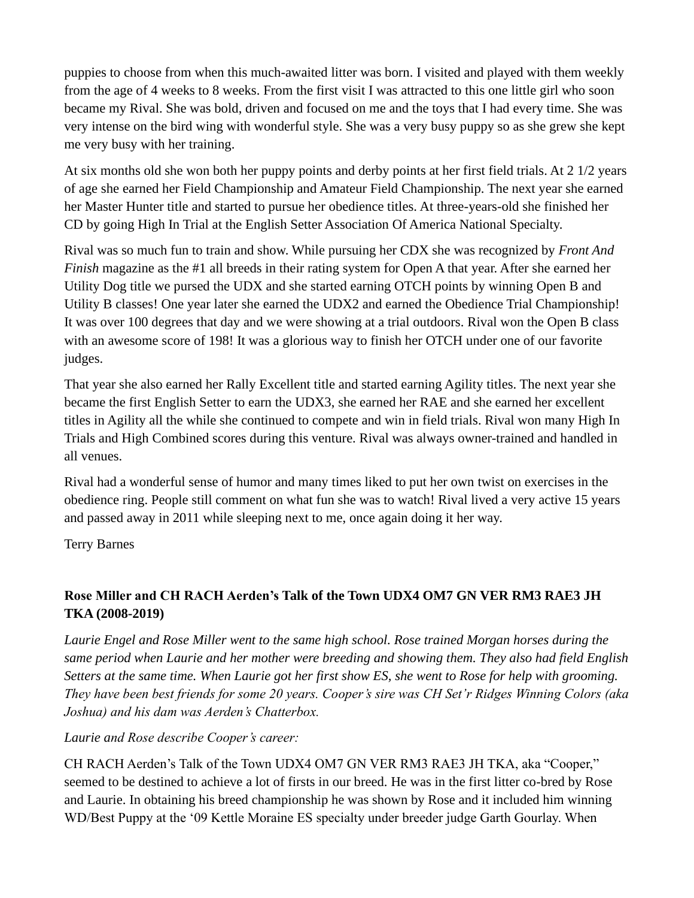puppies to choose from when this much-awaited litter was born. I visited and played with them weekly from the age of 4 weeks to 8 weeks. From the first visit I was attracted to this one little girl who soon became my Rival. She was bold, driven and focused on me and the toys that I had every time. She was very intense on the bird wing with wonderful style. She was a very busy puppy so as she grew she kept me very busy with her training.

At six months old she won both her puppy points and derby points at her first field trials. At 2 1/2 years of age she earned her Field Championship and Amateur Field Championship. The next year she earned her Master Hunter title and started to pursue her obedience titles. At three-years-old she finished her CD by going High In Trial at the English Setter Association Of America National Specialty.

Rival was so much fun to train and show. While pursuing her CDX she was recognized by *Front And Finish* magazine as the #1 all breeds in their rating system for Open A that year. After she earned her Utility Dog title we pursed the UDX and she started earning OTCH points by winning Open B and Utility B classes! One year later she earned the UDX2 and earned the Obedience Trial Championship! It was over 100 degrees that day and we were showing at a trial outdoors. Rival won the Open B class with an awesome score of 198! It was a glorious way to finish her OTCH under one of our favorite judges.

That year she also earned her Rally Excellent title and started earning Agility titles. The next year she became the first English Setter to earn the UDX3, she earned her RAE and she earned her excellent titles in Agility all the while she continued to compete and win in field trials. Rival won many High In Trials and High Combined scores during this venture. Rival was always owner-trained and handled in all venues.

Rival had a wonderful sense of humor and many times liked to put her own twist on exercises in the obedience ring. People still comment on what fun she was to watch! Rival lived a very active 15 years and passed away in 2011 while sleeping next to me, once again doing it her way.

Terry Barnes

## **Rose Miller and CH RACH Aerden's Talk of the Town UDX4 OM7 GN VER RM3 RAE3 JH TKA (2008-2019)**

*Laurie Engel and Rose Miller went to the same high school. Rose trained Morgan horses during the same period when Laurie and her mother were breeding and showing them. They also had field English Setters at the same time. When Laurie got her first show ES, she went to Rose for help with grooming. They have been best friends for some 20 years. Cooper's sire was CH Set'r Ridges Winning Colors (aka Joshua) and his dam was Aerden's Chatterbox.*

*Laurie and Rose describe Cooper's career:*

CH RACH Aerden's Talk of the Town UDX4 OM7 GN VER RM3 RAE3 JH TKA, aka "Cooper," seemed to be destined to achieve a lot of firsts in our breed. He was in the first litter co-bred by Rose and Laurie. In obtaining his breed championship he was shown by Rose and it included him winning WD/Best Puppy at the '09 Kettle Moraine ES specialty under breeder judge Garth Gourlay. When